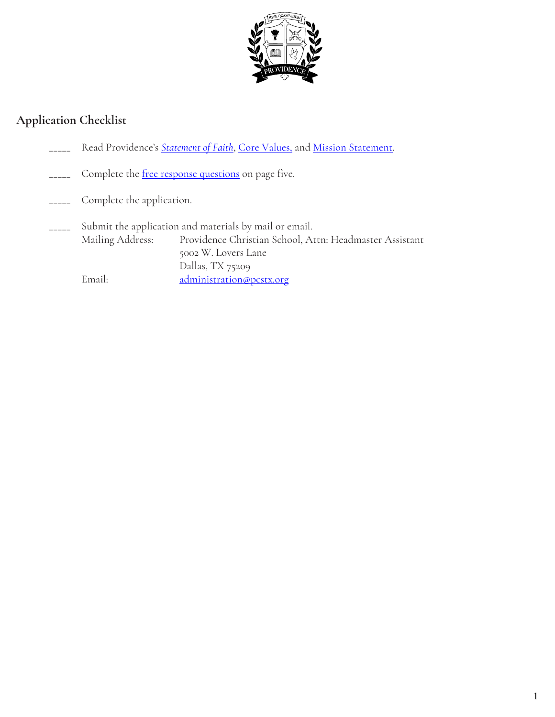

### **Application Checklist**

- Read Providence's **[Statement of Faith](http://www.pcstx.org/about/statement-of-faith/)**, [Core Values,](http://www.pcstx.org/about/core-values/) and [Mission Statement.](http://www.pcstx.org/about/mission-statement/)
- Complete the free response questions on page five.
- Complete the application.
- Submit the application and materials by mail or email. Mailing Address: Providence Christian School, Attn: Headmaster Assistant 5002 W. Lovers Lane Dallas, TX 75209 Email: [administration@pcstx.org](mailto:administration@pcstx.org)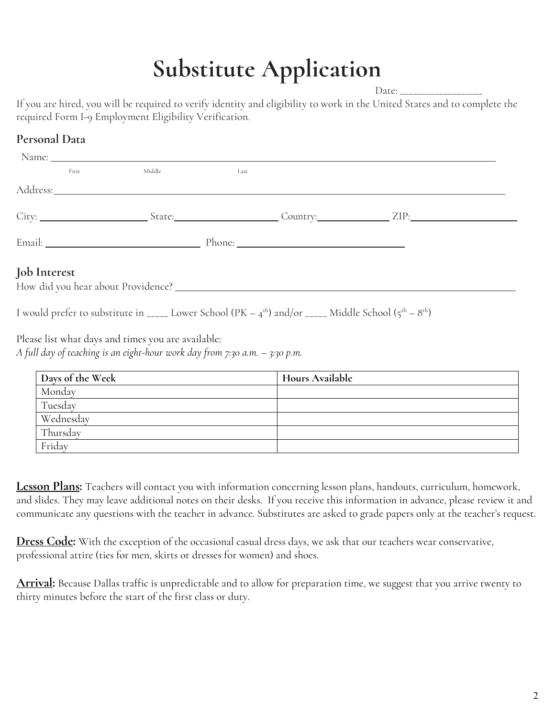# **Substitute Application**

Date:

If you are hired, you will be required to verify identity and eligibility to work in the United States and to complete the required Form I-9 Employment Eligibility Verification.

# Address: City: State: State: Country: ZIP: Email: Phone: **Job Interest** How did you hear about Providence? Name: First Middle Last

I would prefer to substitute in \_\_\_\_\_ Lower School (PK –  $4^{\text{th}}$ ) and/or \_\_\_\_\_ Middle School ( $5^{\text{th}} - 8^{\text{th}}$ )

Please list what days and times you are available:

**Personal Data**

*A full day of teaching is an eight-hour work day from 7:30 a.m. – 3:30 p.m.*

| Days of the Week | <b>Hours Available</b> |
|------------------|------------------------|
| Monday           |                        |
| Tuesday          |                        |
| Wednesday        |                        |
| Thursday         |                        |
| Friday           |                        |

**Lesson Plans:** Teachers will contact you with information concerning lesson plans, handouts, curriculum, homework, and slides. They may leave additional notes on their desks. If you receive this information in advance, please review it and communicate any questions with the teacher in advance. Substitutes are asked to grade papers only at the teacher's request.

**Dress Code:** With the exception of the occasional casual dress days, we ask that our teachers wear conservative, professional attire (ties for men, skirts or dresses for women) and shoes.

**Arrival:** Because Dallas traffic is unpredictable and to allow for preparation time, we suggest that you arrive twenty to thirty minutes before the start of the first class or duty.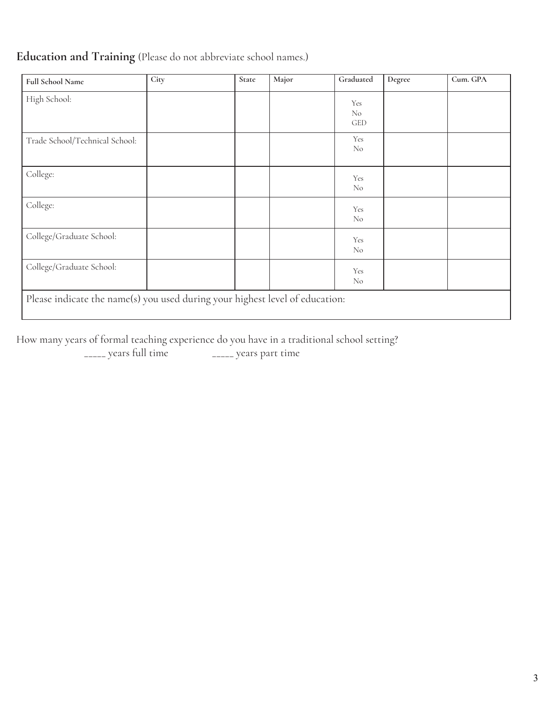# **Education and Training** (Please do not abbreviate school names.)

| <b>Full School Name</b>                                                      | City | State | Major | Graduated               | Degree | Cum. GPA |
|------------------------------------------------------------------------------|------|-------|-------|-------------------------|--------|----------|
| High School:                                                                 |      |       |       | Yes<br>No<br><b>GED</b> |        |          |
| Trade School/Technical School:                                               |      |       |       | Yes<br>N <sub>o</sub>   |        |          |
| College:                                                                     |      |       |       | Yes<br>N <sub>o</sub>   |        |          |
| College:                                                                     |      |       |       | Yes<br>N <sub>o</sub>   |        |          |
| College/Graduate School:                                                     |      |       |       | Yes<br>N <sub>o</sub>   |        |          |
| College/Graduate School:                                                     |      |       |       | Yes<br>N <sub>o</sub>   |        |          |
| Please indicate the name(s) you used during your highest level of education: |      |       |       |                         |        |          |

How many years of formal teaching experience do you have in a traditional school setting?

\_\_\_\_\_ years full time \_\_\_\_\_ years part time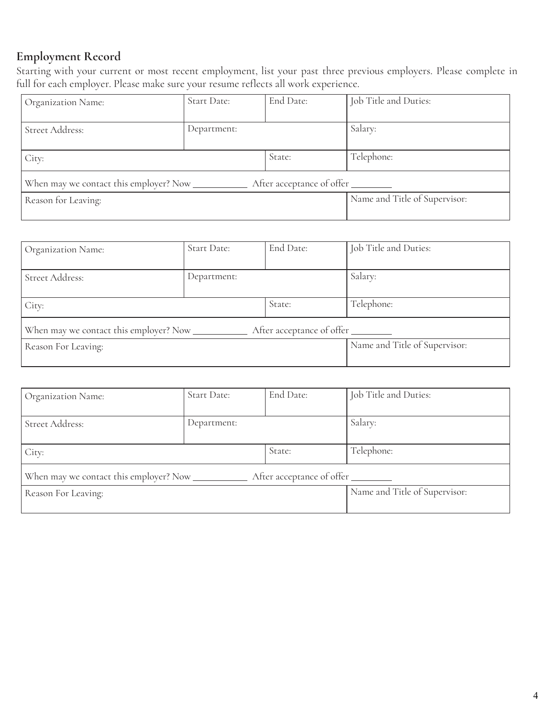# **Employment Record**

Starting with your current or most recent employment, list your past three previous employers. Please complete in full for each employer. Please make sure your resume reflects all work experience.

| Organization Name:                      | Start Date: | End Date:                     | Job Title and Duties: |
|-----------------------------------------|-------------|-------------------------------|-----------------------|
|                                         |             |                               |                       |
| Street Address:                         | Department: |                               | Salary:               |
|                                         |             |                               |                       |
| City:                                   |             | State:                        | Telephone:            |
|                                         |             |                               |                       |
| When may we contact this employer? Now_ |             | After acceptance of offer     |                       |
| Reason for Leaving:                     |             | Name and Title of Supervisor: |                       |
|                                         |             |                               |                       |

| Organization Name:        | Start Date: | End Date: | Job Title and Duties:         |
|---------------------------|-------------|-----------|-------------------------------|
| Street Address:           | Department: |           | Salary:                       |
| State:<br>City:           |             |           | Telephone:                    |
| After acceptance of offer |             |           |                               |
| Reason For Leaving:       |             |           | Name and Title of Supervisor: |
|                           |             |           |                               |

| Organization Name:                                                  | <b>Start Date:</b> | End Date: | Job Title and Duties:         |  |
|---------------------------------------------------------------------|--------------------|-----------|-------------------------------|--|
| Street Address:                                                     | Department:        |           | Salary:                       |  |
| State:<br>City:                                                     |                    |           | Telephone:                    |  |
| When may we contact this employer? Now<br>After acceptance of offer |                    |           |                               |  |
| Reason For Leaving:                                                 |                    |           | Name and Title of Supervisor: |  |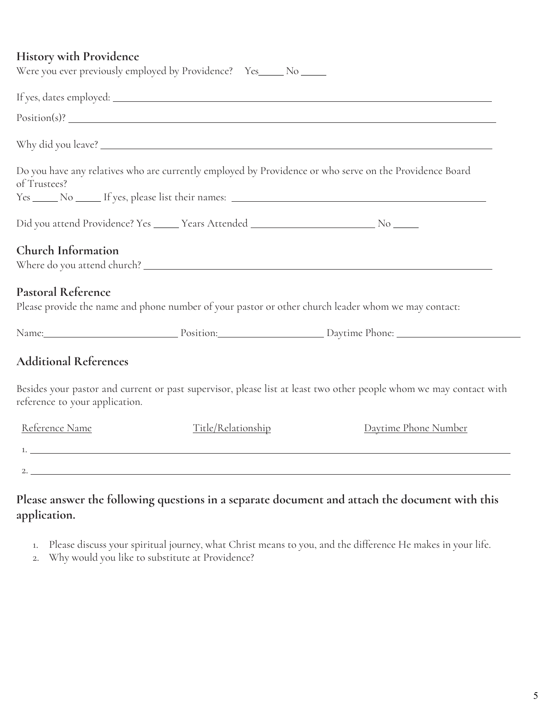#### **History with Providence**

|                                | Were you ever previously employed by Providence? Yes_____ No _____                          |                                                                                                                    |
|--------------------------------|---------------------------------------------------------------------------------------------|--------------------------------------------------------------------------------------------------------------------|
|                                |                                                                                             |                                                                                                                    |
|                                |                                                                                             |                                                                                                                    |
|                                |                                                                                             |                                                                                                                    |
| of Trustees?                   |                                                                                             | Do you have any relatives who are currently employed by Providence or who serve on the Providence Board            |
|                                |                                                                                             |                                                                                                                    |
|                                | Did you attend Providence? Yes ______ Years Attended ____________________________ No ______ |                                                                                                                    |
| Church Information             |                                                                                             |                                                                                                                    |
| Pastoral Reference             |                                                                                             | Please provide the name and phone number of your pastor or other church leader whom we may contact:                |
|                                |                                                                                             |                                                                                                                    |
| <b>Additional References</b>   |                                                                                             |                                                                                                                    |
| reference to your application. |                                                                                             | Besides your pastor and current or past supervisor, please list at least two other people whom we may contact with |
| Reference Name                 | Title/Relationship                                                                          | Daytime Phone Number                                                                                               |
|                                |                                                                                             | $1.$ $\overline{\phantom{a}}$                                                                                      |
|                                |                                                                                             | 2. $\overline{\phantom{a}}$                                                                                        |
|                                |                                                                                             |                                                                                                                    |

# **Please answer the following questions in a separate document and attach the document with this application.**

- 1. Please discuss your spiritual journey, what Christ means to you, and the difference He makes in your life.
- 2. Why would you like to substitute at Providence?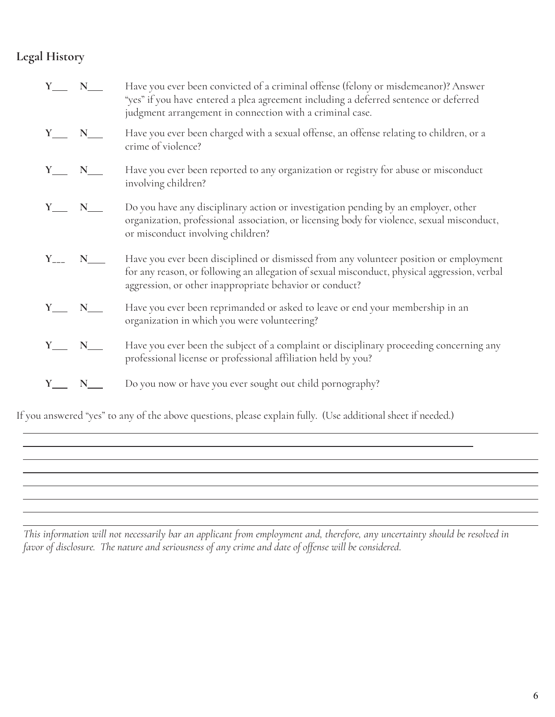# **Legal History**

| $Y_$ $N_$                           | Have you ever been convicted of a criminal offense (felony or misdemeanor)? Answer<br>"yes" if you have entered a plea agreement including a deferred sentence or deferred<br>judgment arrangement in connection with a criminal case.           |
|-------------------------------------|--------------------------------------------------------------------------------------------------------------------------------------------------------------------------------------------------------------------------------------------------|
| $Y_{\phantom{1}}$ $N_{\phantom{1}}$ | Have you ever been charged with a sexual offense, an offense relating to children, or a<br>crime of violence?                                                                                                                                    |
| $Y_$ $N_$                           | Have you ever been reported to any organization or registry for abuse or misconduct<br>involving children?                                                                                                                                       |
| $Y_$ $N_$                           | Do you have any disciplinary action or investigation pending by an employer, other<br>organization, professional association, or licensing body for violence, sexual misconduct,<br>or misconduct involving children?                            |
|                                     | Have you ever been disciplined or dismissed from any volunteer position or employment<br>for any reason, or following an allegation of sexual misconduct, physical aggression, verbal<br>aggression, or other inappropriate behavior or conduct? |
| $Y_$ N_                             | Have you ever been reprimanded or asked to leave or end your membership in an<br>organization in which you were volunteering?                                                                                                                    |
| $Y_$ $N_$                           | Have you ever been the subject of a complaint or disciplinary proceeding concerning any<br>professional license or professional affiliation held by you?                                                                                         |
| $Y_$ $N_$                           | Do you now or have you ever sought out child pornography?                                                                                                                                                                                        |

If you answered "yes" to any of the above questions, please explain fully. (Use additional sheet if needed.)

This information will not necessarily bar an applicant from employment and, therefore, any uncertainty should be resolved in *favor of disclosure. The nature and seriousness of any crime and date of offense will be considered*.